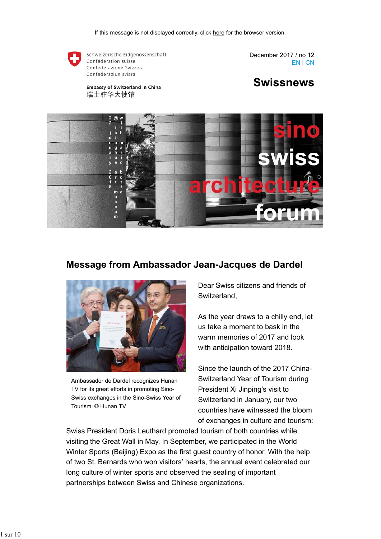

Schweizerische Eidgenossenschaft Confédération suisse Confederazione Svizzera Confederaziun svizra

**Embassy of Switzerland in China** 

瑞士驻华大使馆

December 2017 / no 12 EN | CN





### **Message from Ambassador Jean-Jacques de Dardel**



Ambassador de Dardel recognizes Hunan TV for its great efforts in promoting Sino-Swiss exchanges in the Sino-Swiss Year of Tourism. © Hunan TV

Dear Swiss citizens and friends of Switzerland,

As the year draws to a chilly end, let us take a moment to bask in the warm memories of 2017 and look with anticipation toward 2018.

Since the launch of the 2017 China-Switzerland Year of Tourism during President Xi Jinping's visit to Switzerland in January, our two countries have witnessed the bloom of exchanges in culture and tourism:

Swiss President Doris Leuthard promoted tourism of both countries while visiting the Great Wall in May. In September, we participated in the World Winter Sports (Beijing) Expo as the first guest country of honor. With the help of two St. Bernards who won visitors' hearts, the annual event celebrated our long culture of winter sports and observed the sealing of important partnerships between Swiss and Chinese organizations.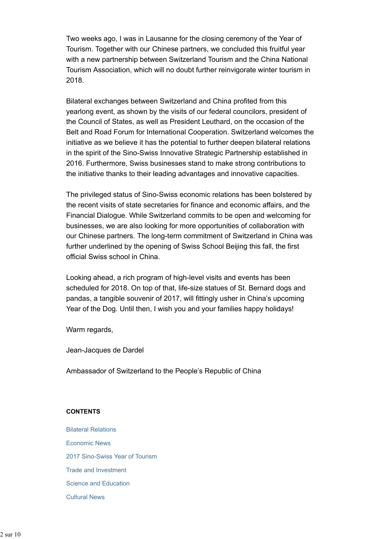Two weeks ago, I was in Lausanne for the closing ceremony of the Year of Tourism. Together with our Chinese partners, we concluded this fruitful year with a new partnership between Switzerland Tourism and the China National Tourism Association, which will no doubt further reinvigorate winter tourism in 2018.

Bilateral exchanges between Switzerland and China profited from this yearlong event, as shown by the visits of our federal councilors, president of the Council of States, as well as President Leuthard, on the occasion of the Belt and Road Forum for International Cooperation. Switzerland welcomes the initiative as we believe it has the potential to further deepen bilateral relations in the spirit of the Sino-Swiss Innovative Strategic Partnership established in 2016. Furthermore, Swiss businesses stand to make strong contributions to the initiative thanks to their leading advantages and innovative capacities.

The privileged status of Sino-Swiss economic relations has been bolstered by the recent visits of state secretaries for finance and economic affairs, and the Financial Dialogue. While Switzerland commits to be open and welcoming for businesses, we are also looking for more opportunities of collaboration with our Chinese partners. The long-term commitment of Switzerland in China was further underlined by the opening of Swiss School Beijing this fall, the first official Swiss school in China.

Looking ahead, a rich program of high-level visits and events has been scheduled for 2018. On top of that, life-size statues of St. Bernard dogs and pandas, a tangible souvenir of 2017, will fittingly usher in China's upcoming Year of the Dog. Until then, I wish you and your families happy holidays!

Warm regards,

Jean-Jacques de Dardel

Ambassador of Switzerland to the People's Republic of China

#### **CONTENTS**

Bilateral Relations Economic News 2017 Sino-Swiss Year of Tourism Trade and Investment Science and Education Cultural News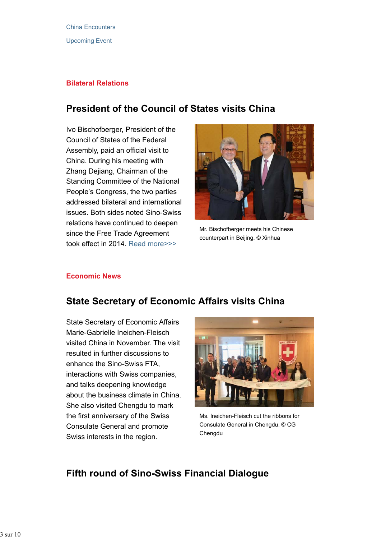### **Bilateral Relations**

## **President of the Council of States visits China**

Ivo Bischofberger, President of the Council of States of the Federal Assembly, paid an official visit to China. During his meeting with Zhang Dejiang, Chairman of the Standing Committee of the National People's Congress, the two parties addressed bilateral and international issues. Both sides noted Sino-Swiss relations have continued to deepen since the Free Trade Agreement took effect in 2014. Read more>>>



Mr. Bischofberger meets his Chinese counterpart in Beijing. © Xinhua

### **Economic News**

## **State Secretary of Economic Affairs visits China**

State Secretary of Economic Affairs Marie-Gabrielle Ineichen-Fleisch visited China in November. The visit resulted in further discussions to enhance the Sino-Swiss FTA, interactions with Swiss companies, and talks deepening knowledge about the business climate in China. She also visited Chengdu to mark the first anniversary of the Swiss Consulate General and promote Swiss interests in the region.



Ms. Ineichen-Fleisch cut the ribbons for Consulate General in Chengdu. © CG Chengdu

## **Fifth round of Sino-Swiss Financial Dialogue**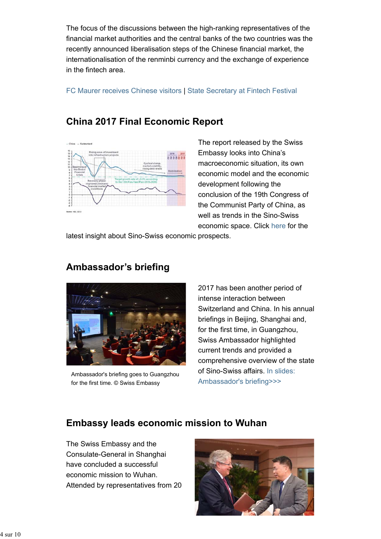The focus of the discussions between the high-ranking representatives of the financial market authorities and the central banks of the two countries was the recently announced liberalisation steps of the Chinese financial market, the internationalisation of the renminbi currency and the exchange of experience in the fintech area.

FC Maurer receives Chinese visitors | State Secretary at Fintech Festival

## **China 2017 Final Economic Report**



The report released by the Swiss Embassy looks into China's macroeconomic situation, its own economic model and the economic development following the conclusion of the 19th Congress of the Communist Party of China, as well as trends in the Sino-Swiss economic space. Click here for the

latest insight about Sino-Swiss economic prospects.

## **Ambassador's briefing**



Ambassador's briefing goes to Guangzhou for the first time. © Swiss Embassy

2017 has been another period of intense interaction between Switzerland and China. In his annual briefings in Beijing, Shanghai and, for the first time, in Guangzhou, Swiss Ambassador highlighted current trends and provided a comprehensive overview of the state of Sino-Swiss affairs. In slides: Ambassador's briefing>>>

## **Embassy leads economic mission to Wuhan**

The Swiss Embassy and the Consulate-General in Shanghai have concluded a successful economic mission to Wuhan. Attended by representatives from 20

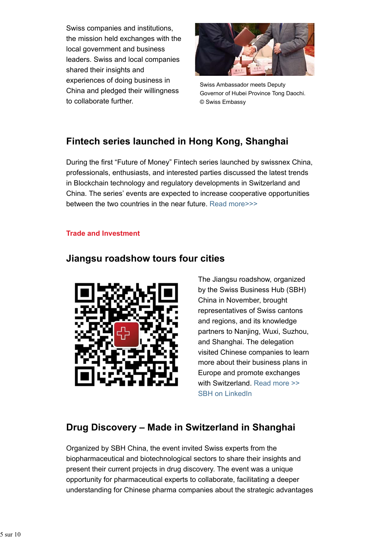Swiss companies and institutions, the mission held exchanges with the local government and business leaders. Swiss and local companies shared their insights and experiences of doing business in China and pledged their willingness to collaborate further.



Swiss Ambassador meets Deputy Governor of Hubei Province Tong Daochi. © Swiss Embassy

# **Fintech series launched in Hong Kong, Shanghai**

During the first "Future of Money" Fintech series launched by swissnex China, professionals, enthusiasts, and interested parties discussed the latest trends in Blockchain technology and regulatory developments in Switzerland and China. The series' events are expected to increase cooperative opportunities between the two countries in the near future. Read more>>>

### **Trade and Investment**

### **Jiangsu roadshow tours four cities**



The Jiangsu roadshow, organized by the Swiss Business Hub (SBH) China in November, brought representatives of Swiss cantons and regions, and its knowledge partners to Nanjing, Wuxi, Suzhou, and Shanghai. The delegation visited Chinese companies to learn more about their business plans in Europe and promote exchanges with Switzerland. Read more >> SBH on LinkedIn

# **Drug Discovery – Made in Switzerland in Shanghai**

Organized by SBH China, the event invited Swiss experts from the biopharmaceutical and biotechnological sectors to share their insights and present their current projects in drug discovery. The event was a unique opportunity for pharmaceutical experts to collaborate, facilitating a deeper understanding for Chinese pharma companies about the strategic advantages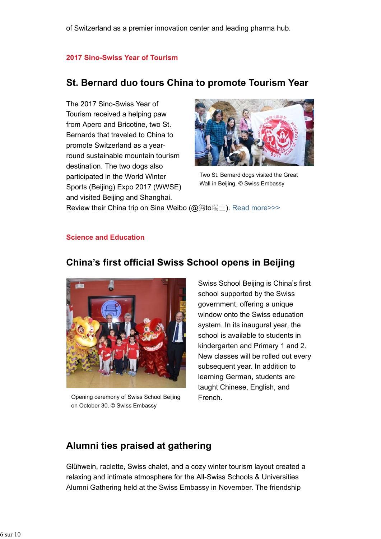### **2017 Sino-Swiss Year of Tourism**

### **St. Bernard duo tours China to promote Tourism Year**

The 2017 Sino-Swiss Year of Tourism received a helping paw from Apero and Bricotine, two St. Bernards that traveled to China to promote Switzerland as a yearround sustainable mountain tourism destination. The two dogs also participated in the World Winter Sports (Beijing) Expo 2017 (WWSE) and visited Beijing and Shanghai.



Two St. Bernard dogs visited the Great Wall in Beijing. © Swiss Embassy

Review their China trip on Sina Weibo (@狗to瑞士). Read more>>>

### **Science and Education**

### **China's first official Swiss School opens in Beijing**



Opening ceremony of Swiss School Beijing on October 30. © Swiss Embassy

Swiss School Beijing is China's first school supported by the Swiss government, offering a unique window onto the Swiss education system. In its inaugural year, the school is available to students in kindergarten and Primary 1 and 2. New classes will be rolled out every subsequent year. In addition to learning German, students are taught Chinese, English, and French.

### **Alumni ties praised at gathering**

Glühwein, raclette, Swiss chalet, and a cozy winter tourism layout created a relaxing and intimate atmosphere for the All-Swiss Schools & Universities Alumni Gathering held at the Swiss Embassy in November. The friendship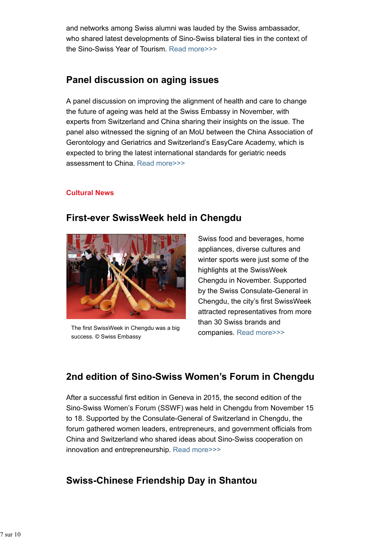and networks among Swiss alumni was lauded by the Swiss ambassador, who shared latest developments of Sino-Swiss bilateral ties in the context of the Sino-Swiss Year of Tourism. Read more>>>

# **Panel discussion on aging issues**

A panel discussion on improving the alignment of health and care to change the future of ageing was held at the Swiss Embassy in November, with experts from Switzerland and China sharing their insights on the issue. The panel also witnessed the signing of an MoU between the China Association of Gerontology and Geriatrics and Switzerland's EasyCare Academy, which is expected to bring the latest international standards for geriatric needs assessment to China. Read more>>>

### **Cultural News**

## **First-ever SwissWeek held in Chengdu**



The first SwissWeek in Chengdu was a big success. © Swiss Embassy

Swiss food and beverages, home appliances, diverse cultures and winter sports were just some of the highlights at the SwissWeek Chengdu in November. Supported by the Swiss Consulate-General in Chengdu, the city's first SwissWeek attracted representatives from more than 30 Swiss brands and companies. Read more>>>

# **2nd edition of Sino-Swiss Women's Forum in Chengdu**

After a successful first edition in Geneva in 2015, the second edition of the Sino-Swiss Women's Forum (SSWF) was held in Chengdu from November 15 to 18. Supported by the Consulate-General of Switzerland in Chengdu, the forum gathered women leaders, entrepreneurs, and government officials from China and Switzerland who shared ideas about Sino-Swiss cooperation on innovation and entrepreneurship. Read more>>>

# **Swiss-Chinese Friendship Day in Shantou**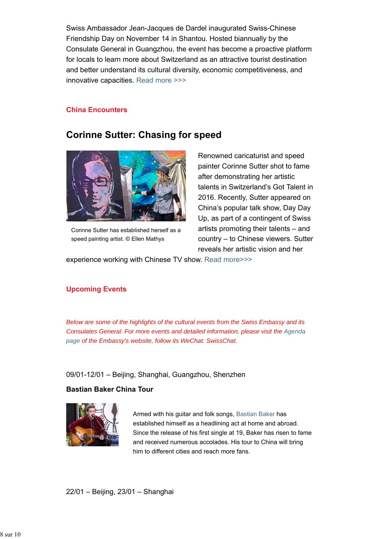Swiss Ambassador Jean-Jacques de Dardel inaugurated Swiss-Chinese Friendship Day on November 14 in Shantou. Hosted biannually by the Consulate General in Guangzhou, the event has become a proactive platform for locals to learn more about Switzerland as an attractive tourist destination and better understand its cultural diversity, economic competitiveness, and innovative capacities. Read more >>>

#### **China Encounters**

### **Corinne Sutter: Chasing for speed**



Corinne Sutter has established herself as a speed painting artist. © Ellen Mathys

Renowned caricaturist and speed painter Corinne Sutter shot to fame after demonstrating her artistic talents in Switzerland's Got Talent in 2016. Recently, Sutter appeared on China's popular talk show, Day Day Up, as part of a contingent of Swiss artists promoting their talents – and country – to Chinese viewers. Sutter reveals her artistic vision and her

experience working with Chinese TV show. Read more>>>

### **Upcoming Events**

*Below are some of the highlights of the cultural events from the Swiss Embassy and its Consulates General. For more events and detailed information, please visit the Agenda page of the Embassy's website, follow its WeChat: SwissChat.*

#### 09/01-12/01 – Beijing, Shanghai, Guangzhou, Shenzhen

### **Bastian Baker China Tour**



Armed with his guitar and folk songs, Bastian Baker has established himself as a headlining act at home and abroad. Since the release of his first single at 19, Baker has risen to fame and received numerous accolades. His tour to China will bring him to different cities and reach more fans.

22/01 – Beijing, 23/01 – Shanghai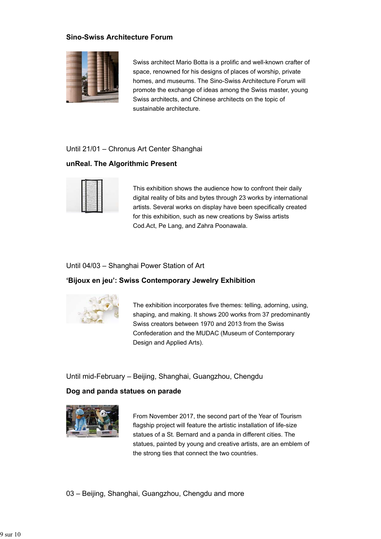### **Sino-Swiss Architecture Forum**



Swiss architect Mario Botta is a prolific and well-known crafter of space, renowned for his designs of places of worship, private homes, and museums. The Sino-Swiss Architecture Forum will promote the exchange of ideas among the Swiss master, young Swiss architects, and Chinese architects on the topic of sustainable architecture.

#### Until 21/01 – Chronus Art Center Shanghai

#### **unReal. The Algorithmic Present**



This exhibition shows the audience how to confront their daily digital reality of bits and bytes through 23 works by international artists. Several works on display have been specifically created for this exhibition, such as new creations by Swiss artists Cod.Act, Pe Lang, and Zahra Poonawala.

#### Until 04/03 – Shanghai Power Station of Art

### **'Bijoux en jeu': Swiss Contemporary Jewelry Exhibition**



The exhibition incorporates five themes: telling, adorning, using, shaping, and making. It shows 200 works from 37 predominantly Swiss creators between 1970 and 2013 from the Swiss Confederation and the MUDAC (Museum of Contemporary Design and Applied Arts).

### Until mid-February – Beijing, Shanghai, Guangzhou, Chengdu

### **Dog and panda statues on parade**



From November 2017, the second part of the Year of Tourism flagship project will feature the artistic installation of life-size statues of a St. Bernard and a panda in different cities. The statues, painted by young and creative artists, are an emblem of the strong ties that connect the two countries.

03 – Beijing, Shanghai, Guangzhou, Chengdu and more